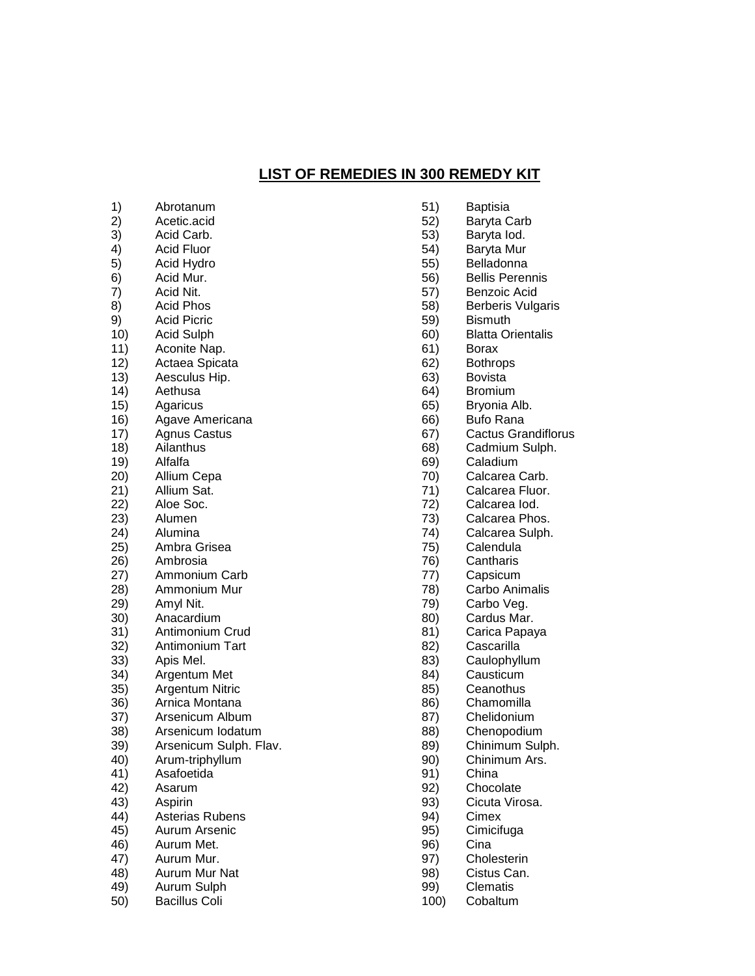## **LIST OF REMEDIES IN 300 REMEDY KIT**

- 1) Abrotanum 2) Acetic.acid 3) Acid Carb. 4) Acid Fluor 5) Acid Hydro<br>6) Acid Mur. Acid Mur. 7) Acid Nit. 8) Acid Phos 9) Acid Picric 10) Acid Sulph 11) Aconite Nap. 12) Actaea Spicata 13) Aesculus Hip. 14) Aethusa 15) Agaricus 16) Agave Americana 17) Agnus Castus<br>18) Ailanthus Ailanthus 19) Alfalfa 20) Allium Cepa 21) Allium Sat. 22) Aloe Soc. 23) Alumen 24) Alumina 25) Ambra Grisea 26) Ambrosia 27) Ammonium Carb 28) Ammonium Mur 29) Amyl Nit. **Anacardium** 31) Antimonium Crud 32) Antimonium Tart 33) Apis Mel. 34) Argentum Met 35) Argentum Nitric 36) Arnica Montana 37) Arsenicum Album 38) Arsenicum Iodatum 39) Arsenicum Sulph. Flav. 40) Arum-triphyllum 41) Asafoetida 42) Asarum 43) Aspirin 44) Asterias Rubens 45) Aurum Arsenic 46) Aurum Met. 47) Aurum Mur.
- 48) Aurum Mur Nat
- 49) Aurum Sulph
- 50) Bacillus Coli
- 51) Baptisia
- 52) Baryta Carb
- 53) Baryta Iod.
- 54) Baryta Mur
- 55) Belladonna
- 56) Bellis Perennis
- 57) Benzoic Acid
- 58) Berberis Vulgaris
- 59) Bismuth
- 60) Blatta Orientalis
- 61) Borax
- 62) Bothrops
- 63) Bovista
- 64) Bromium
- 65) Bryonia Alb.
- 66) Bufo Rana
- 67) Cactus Grandiflorus
- 68) Cadmium Sulph.
- 69) Caladium
- 70) Calcarea Carb.
- 71) Calcarea Fluor.
- 72) Calcarea Iod.
- 73) Calcarea Phos.
- 74) Calcarea Sulph.
- 75) Calendula
- 76) Cantharis
- 77) Capsicum
- 78) Carbo Animalis
- 79) Carbo Veg.
- 80) Cardus Mar.
- 81) Carica Papaya
- 82) Cascarilla
- 83) Caulophyllum
- 84) Causticum
- 85) Ceanothus
- 86) Chamomilla
- 87) Chelidonium
- 88) Chenopodium
- 89) Chinimum Sulph.
- 90) Chinimum Ars.
- 91) China
- 92) Chocolate
- 93) Cicuta Virosa.
- 94) Cimex
- 95) Cimicifuga
- 96) Cina
- 97) Cholesterin
- 98) Cistus Can.
- 99) Clematis
- 100) Cobaltum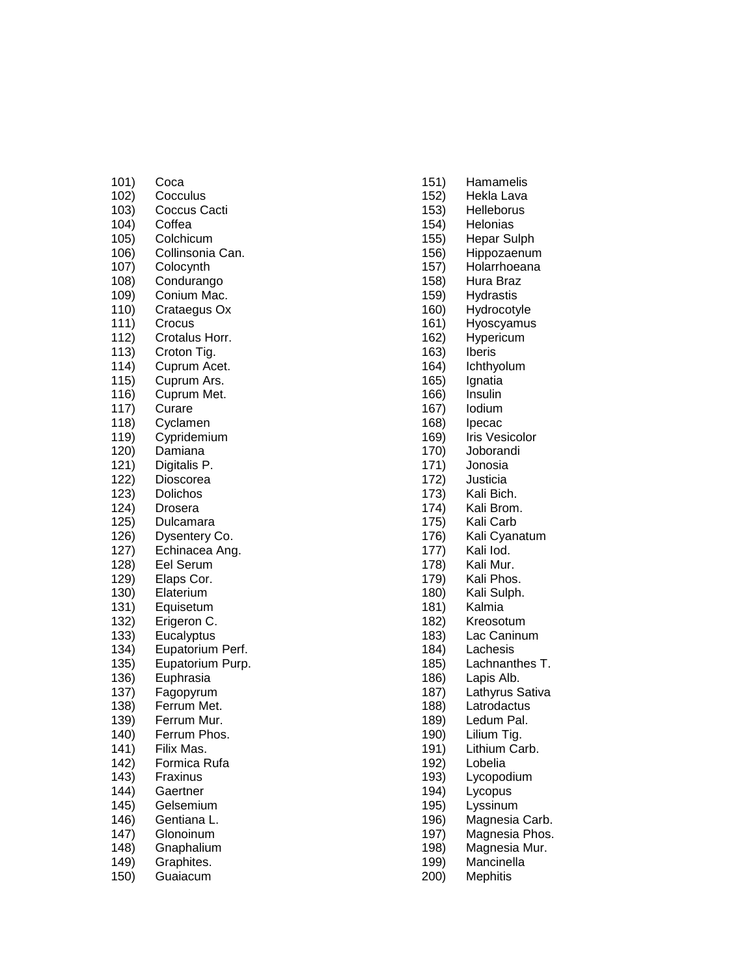| 101) | Coca                  |
|------|-----------------------|
| 102) | Cocculus              |
| 103) | Coccus Cacti          |
| 104) | Coffea                |
| 105) | Colchicum             |
| 106) | Collinsonia Can.      |
| 107) |                       |
|      | Colocynth             |
| 108) | Condurango            |
| 109) | Conium Mac.           |
| 110) | Crataegus Ox          |
| 111) | Crocus                |
| 112) | Crotalus Horr.        |
| 113) | Croton Tig.           |
| 114) | Cuprum Acet.          |
| 115) | Cuprum Ars.           |
| 116) | Cuprum Met.<br>Curare |
| 117) |                       |
| 118) | Cyclamen              |
| 119) | Cypridemium           |
| 120) | Damiana               |
| 121) | Digitalis P.          |
| 122) | Dioscorea             |
| 123) | Dolichos              |
| 124) | Drosera               |
| 125) | Dulcamara             |
| 126) | Dysentery Co.         |
| 127) | Echinacea Ang.        |
| 128) | Eel Serum             |
| 129) | Elaps Cor.            |
| 130) | Elaterium             |
| 131) | Equisetum             |
| 132) | Erigeron C.           |
| 133) | Eucalyptus            |
| 134) | Eupatorium<br>Perf.   |
| 135) | Eupatorium Purp.      |
| 136) | Euphrasia             |
| 137) | Fagopyrum             |
| 138) | Ferrum Met.           |
| 139) | Ferrum Mur.           |
| 140) | Ferrum Phos.          |
| 141) | Filix Mas.            |
| 142) | Formica Rufa          |
| 143) | Fraxinus              |
| 144) | Gaertner              |
| 145) | Gelsemium             |
| 146) | Gentiana L.           |
| 147) | Glonoinum             |
| 148) | Gnaphalium            |
| 149) | Graphites.            |
| 150) | Guaiacum              |

- 151) Hamamelis
- 152) Hekla Lava
- 153) Helleborus
- 154) Helonias
- 155) Hepar Sulph
- 156) Hippozaenum
- 157) Holarrhoeana
- 158) Hura Braz
- 159) Hydrastis
- 160) Hydrocotyle
- 161) Hyoscyamus
- 162) Hypericum
- 163) Iberis<br>164) Ichthy
- **Ichthyolum**
- 165) Ignatia
- 166) Insulin
- 167) Iodium
- 168) Ipecac
- 169) Iris Vesicolor
- 170) Joborandi
- 171) Jonosia
- 172) Justicia
- 173) Kali Bich.
- 174) Kali Brom.
- 175) Kali Carb
- 176) Kali Cyanatum
- 177) Kali Iod .
- 178) Kali Mur .
- 179) Kali Phos.
- 180) Kali Sulph .
- 181) Kalmia
- 182) Kreosotum
- 183) Lac Caninum
- 184) Lachesis
- 185) Lachnanthes T.
- 186) Lapis Alb.
- 187) Lathyrus Sativa
- 188) Latrodactus
- 189) Ledum Pal.
- 190) Lilium Tig.
- 191) Lithium Carb .
- 192) Lobelia
- 193) Lycopodium
- 194) Lycopus
- 195) Lyssinum
- 196) Magnesia Carb .
- 197) Magnesia Phos .
- $198)$ Magnesia Mur.
- 199) Mancinella
- 200) Mephitis